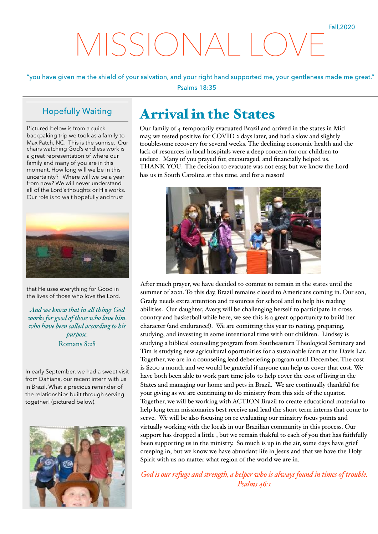## MISSIONAL

"you have given me the shield of your salvation, and your right hand supported me, your gentleness made me great." Psalms 18:35

## Hopefully Waiting

Pictured below is from a quick backpaking trip we took as a family to Max Patch, NC. This is the sunrise. Our chairs watching God's endless work is a great representation of where our family and many of you are in this moment. How long will we be in this uncertainty? Where will we be a year from now? We will never understand all of the Lord's thoughts or His works. Our role is to wait hopefully and trust



that He uses everything for Good in the lives of those who love the Lord.

*And we know that in al things God works for good of those who love him, who have been caled according to his purpose.* Romans 8:28

In early September, we had a sweet visit from Dahiana, our recent intern with us in Brazil. What a precious reminder of the relationships built through serving together! (pictured below).



## Arrival in the States

Our family of 4 temporarily evacuated Brazil and arrived in the states in Mid may, we tested positive for COVID 2 days later, and had a slow and slightly troublesome recovery for several weeks. The declining economic health and the lack of resources in local hospitals were a deep concern for our children to endure. Many of you prayed for, encouraged, and financially helped us. THANK YOU. The decision to evacuate was not easy, but we know the Lord has us in South Carolina at this time, and for a reason!



After much prayer, we have decided to commit to remain in the states until the summer of 2021. To this day, Brazil remains closed to Americans coming in. Our son, Grady, needs extra attention and resources for school and to help his reading abilities. Our daughter, Avery, will be challenging herself to participate in cross country and basketball while here, we see this is a great opportunity to build her character (and endurance!). We are comitting this year to resting, preparing, studying, and investing in some intentional time with our children. Lindsey is studying a biblical counseling program from Southeastern Theological Seminary and Tim is studying new agricultural oportunities for a sustainable farm at the Davis Lar. Together, we are in a counseling lead deberiefing program until December. The cost is \$200 a month and we would be grateful if anyone can help us cover that cost. We have both been able to work part time jobs to help cover the cost of living in the States and managing our home and pets in Brazil. We are continually thankful for your giving as we are continuing to do ministry from this side of the equator. Together, we will be working with ACTION Brazil to create educational material to help long term missionaries best receive and lead the short term interns that come to serve. We will be also focusing on re evaluating our minsitry focus points and virtually working with the locals in our Brazilian community in this process. Our support has dropped a little , but we remain thakful to each of you that has faithfully been supporting us in the ministry. So much is up in the air, some days have grief creeping in, but we know we have abundant life in Jesus and that we have the Holy Spirit with us no matter what region of the world we are in.

*God is our refuge and strength, a helper who is always found in times of trouble. Psalms 46:1*